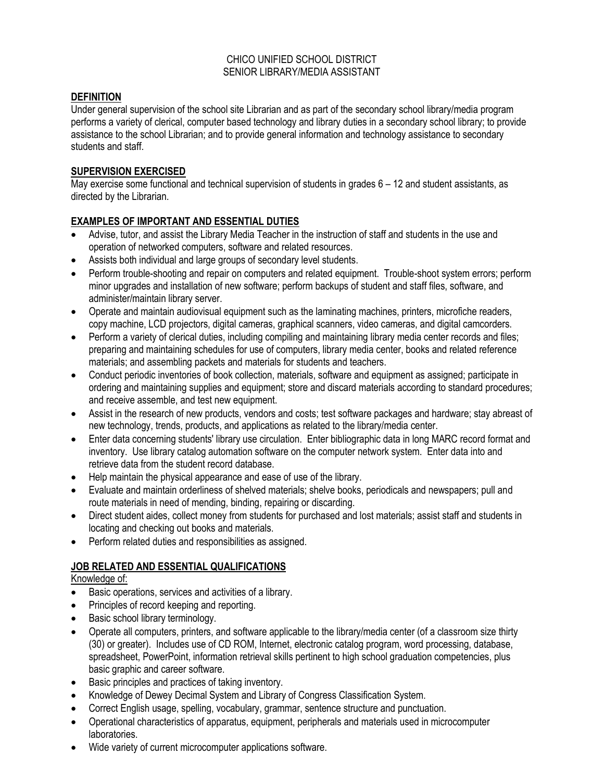### CHICO UNIFIED SCHOOL DISTRICT SENIOR LIBRARY/MEDIA ASSISTANT

# **DEFINITION**

Under general supervision of the school site Librarian and as part of the secondary school library/media program performs a variety of clerical, computer based technology and library duties in a secondary school library; to provide assistance to the school Librarian; and to provide general information and technology assistance to secondary students and staff.

### **SUPERVISION EXERCISED**

May exercise some functional and technical supervision of students in grades 6 – 12 and student assistants, as directed by the Librarian.

# **EXAMPLES OF IMPORTANT AND ESSENTIAL DUTIES**

- Advise, tutor, and assist the Library Media Teacher in the instruction of staff and students in the use and operation of networked computers, software and related resources.
- Assists both individual and large groups of secondary level students.
- Perform trouble-shooting and repair on computers and related equipment. Trouble-shoot system errors; perform minor upgrades and installation of new software; perform backups of student and staff files, software, and administer/maintain library server.
- Operate and maintain audiovisual equipment such as the laminating machines, printers, microfiche readers, copy machine, LCD projectors, digital cameras, graphical scanners, video cameras, and digital camcorders.
- Perform a variety of clerical duties, including compiling and maintaining library media center records and files; preparing and maintaining schedules for use of computers, library media center, books and related reference materials; and assembling packets and materials for students and teachers.
- Conduct periodic inventories of book collection, materials, software and equipment as assigned; participate in ordering and maintaining supplies and equipment; store and discard materials according to standard procedures; and receive assemble, and test new equipment.
- Assist in the research of new products, vendors and costs; test software packages and hardware; stay abreast of new technology, trends, products, and applications as related to the library/media center.
- Enter data concerning students' library use circulation. Enter bibliographic data in long MARC record format and inventory. Use library catalog automation software on the computer network system. Enter data into and retrieve data from the student record database.
- Help maintain the physical appearance and ease of use of the library.
- Evaluate and maintain orderliness of shelved materials; shelve books, periodicals and newspapers; pull and route materials in need of mending, binding, repairing or discarding.
- Direct student aides, collect money from students for purchased and lost materials; assist staff and students in locating and checking out books and materials.
- Perform related duties and responsibilities as assigned.

# **JOB RELATED AND ESSENTIAL QUALIFICATIONS**

# Knowledge of:

- Basic operations, services and activities of a library.
- Principles of record keeping and reporting.
- Basic school library terminology.
- Operate all computers, printers, and software applicable to the library/media center (of a classroom size thirty (30) or greater). Includes use of CD ROM, Internet, electronic catalog program, word processing, database, spreadsheet, PowerPoint, information retrieval skills pertinent to high school graduation competencies, plus basic graphic and career software.
- Basic principles and practices of taking inventory.
- Knowledge of Dewey Decimal System and Library of Congress Classification System.
- Correct English usage, spelling, vocabulary, grammar, sentence structure and punctuation.
- Operational characteristics of apparatus, equipment, peripherals and materials used in microcomputer laboratories.
- Wide variety of current microcomputer applications software.